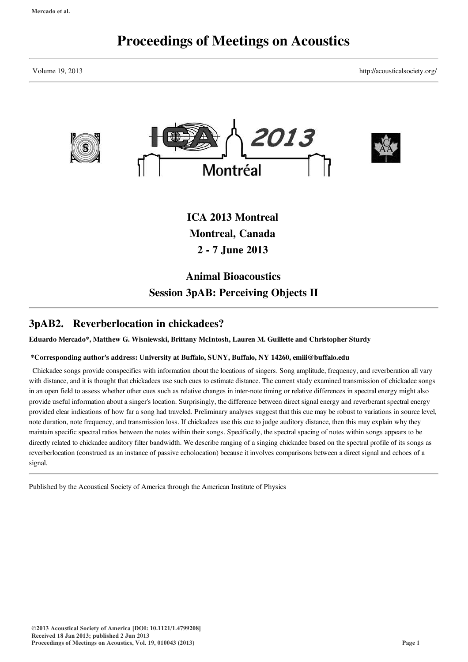# Proceedings of Meetings on Acoustics



# 3pAB2. Reverberlocation in chickadees?

Eduardo Mercado\*, Matthew G. Wisniewski, Brittany McIntosh, Lauren M. Guillette and Christopher Sturdy

## \*Corresponding author's address: University at Buffalo, SUNY, Buffalo, NY 14260, emiii@buffalo.edu

Chickadee songs provide conspecifics with information about the locations of singers. Song amplitude, frequency, and reverberation all vary with distance, and it is thought that chickadees use such cues to estimate distance. The current study examined transmission of chickadee songs in an open field to assess whether other cues such as relative changes in inter-note timing or relative differences in spectral energy might also provide useful information about a singer's location. Surprisingly, the difference between direct signal energy and reverberant spectral energy provided clear indications of how far a song had traveled. Preliminary analyses suggest that this cue may be robust to variations in source level, note duration, note frequency, and transmission loss. If chickadees use this cue to judge auditory distance, then this may explain why they maintain specific spectral ratios between the notes within their songs. Specifically, the spectral spacing of notes within songs appears to be directly related to chickadee auditory filter bandwidth. We describe ranging of a singing chickadee based on the spectral profile of its songs as reverberlocation (construed as an instance of passive echolocation) because it involves comparisons between a direct signal and echoes of a signal.

Published by the Acoustical Society of America through the American Institute of Physics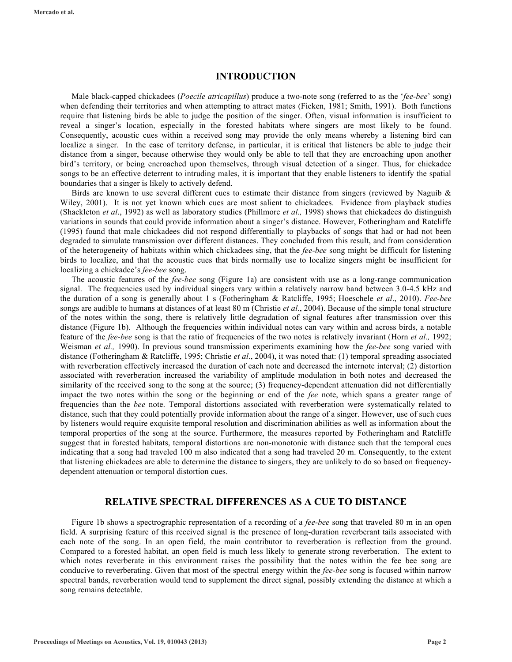# **INTRODUCTION**

Male black-capped chickadees (*Poecile atricapillus*) produce a two-note song (referred to as the '*fee-bee*' song) when defending their territories and when attempting to attract mates (Ficken, 1981; Smith, 1991). Both functions require that listening birds be able to judge the position of the singer. Often, visual information is insufficient to reveal a singer's location, especially in the forested habitats where singers are most likely to be found. Consequently, acoustic cues within a received song may provide the only means whereby a listening bird can localize a singer. In the case of territory defense, in particular, it is critical that listeners be able to judge their distance from a singer, because otherwise they would only be able to tell that they are encroaching upon another bird's territory, or being encroached upon themselves, through visual detection of a singer. Thus, for chickadee songs to be an effective deterrent to intruding males, it is important that they enable listeners to identify the spatial boundaries that a singer is likely to actively defend.

Birds are known to use several different cues to estimate their distance from singers (reviewed by Naguib & Wiley, 2001). It is not yet known which cues are most salient to chickadees. Evidence from playback studies (Shackleton *et al*., 1992) as well as laboratory studies (Phillmore *et al.,* 1998) shows that chickadees do distinguish variations in sounds that could provide information about a singer's distance. However, Fotheringham and Ratcliffe (1995) found that male chickadees did not respond differentially to playbacks of songs that had or had not been degraded to simulate transmission over different distances. They concluded from this result, and from consideration of the heterogeneity of habitats within which chickadees sing, that the *fee-bee* song might be difficult for listening birds to localize, and that the acoustic cues that birds normally use to localize singers might be insufficient for localizing a chickadee's *fee-bee* song.

The acoustic features of the *fee-bee* song (Figure 1a) are consistent with use as a long-range communication signal. The frequencies used by individual singers vary within a relatively narrow band between 3.0-4.5 kHz and the duration of a song is generally about 1 s (Fotheringham & Ratcliffe, 1995; Hoeschele *et al*., 2010). *Fee-bee* songs are audible to humans at distances of at least 80 m (Christie *et al*., 2004). Because of the simple tonal structure of the notes within the song, there is relatively little degradation of signal features after transmission over this distance (Figure 1b). Although the frequencies within individual notes can vary within and across birds, a notable feature of the *fee-bee* song is that the ratio of frequencies of the two notes is relatively invariant (Horn *et al.,* 1992; Weisman *et al.,* 1990). In previous sound transmission experiments examining how the *fee-bee* song varied with distance (Fotheringham & Ratcliffe, 1995; Christie *et al*., 2004), it was noted that: (1) temporal spreading associated with reverberation effectively increased the duration of each note and decreased the internote interval; (2) distortion associated with reverberation increased the variability of amplitude modulation in both notes and decreased the similarity of the received song to the song at the source; (3) frequency-dependent attenuation did not differentially impact the two notes within the song or the beginning or end of the *fee* note, which spans a greater range of frequencies than the *bee* note. Temporal distortions associated with reverberation were systematically related to distance, such that they could potentially provide information about the range of a singer. However, use of such cues by listeners would require exquisite temporal resolution and discrimination abilities as well as information about the temporal properties of the song at the source. Furthermore, the measures reported by Fotheringham and Ratcliffe suggest that in forested habitats, temporal distortions are non-monotonic with distance such that the temporal cues indicating that a song had traveled 100 m also indicated that a song had traveled 20 m. Consequently, to the extent that listening chickadees are able to determine the distance to singers, they are unlikely to do so based on frequencydependent attenuation or temporal distortion cues.

# **RELATIVE SPECTRAL DIFFERENCES AS A CUE TO DISTANCE**

Figure 1b shows a spectrographic representation of a recording of a *fee-bee* song that traveled 80 m in an open field. A surprising feature of this received signal is the presence of long-duration reverberant tails associated with each note of the song. In an open field, the main contributor to reverberation is reflection from the ground. Compared to a forested habitat, an open field is much less likely to generate strong reverberation. The extent to which notes reverberate in this environment raises the possibility that the notes within the fee bee song are conducive to reverberating. Given that most of the spectral energy within the *fee-bee* song is focused within narrow spectral bands, reverberation would tend to supplement the direct signal, possibly extending the distance at which a song remains detectable.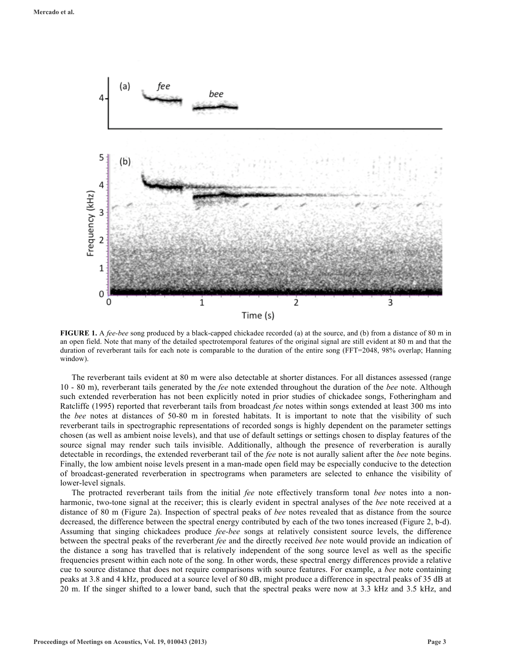

**FIGURE 1.** A *fee-bee* song produced by a black-capped chickadee recorded (a) at the source, and (b) from a distance of 80 m in an open field. Note that many of the detailed spectrotemporal features of the original signal are still evident at 80 m and that the duration of reverberant tails for each note is comparable to the duration of the entire song (FFT=2048, 98% overlap; Hanning window).

The reverberant tails evident at 80 m were also detectable at shorter distances. For all distances assessed (range 10 - 80 m), reverberant tails generated by the *fee* note extended throughout the duration of the *bee* note. Although such extended reverberation has not been explicitly noted in prior studies of chickadee songs, Fotheringham and Ratcliffe (1995) reported that reverberant tails from broadcast *fee* notes within songs extended at least 300 ms into the *bee* notes at distances of 50-80 m in forested habitats. It is important to note that the visibility of such reverberant tails in spectrographic representations of recorded songs is highly dependent on the parameter settings chosen (as well as ambient noise levels), and that use of default settings or settings chosen to display features of the source signal may render such tails invisible. Additionally, although the presence of reverberation is aurally detectable in recordings, the extended reverberant tail of the *fee* note is not aurally salient after the *bee* note begins. Finally, the low ambient noise levels present in a man-made open field may be especially conducive to the detection of broadcast-generated reverberation in spectrograms when parameters are selected to enhance the visibility of lower-level signals.

The protracted reverberant tails from the initial *fee* note effectively transform tonal *bee* notes into a nonharmonic, two-tone signal at the receiver; this is clearly evident in spectral analyses of the *bee* note received at a distance of 80 m (Figure 2a). Inspection of spectral peaks of *bee* notes revealed that as distance from the source decreased, the difference between the spectral energy contributed by each of the two tones increased (Figure 2, b-d). Assuming that singing chickadees produce *fee-bee* songs at relatively consistent source levels, the difference between the spectral peaks of the reverberant *fee* and the directly received *bee* note would provide an indication of the distance a song has travelled that is relatively independent of the song source level as well as the specific frequencies present within each note of the song. In other words, these spectral energy differences provide a relative cue to source distance that does not require comparisons with source features. For example, a *bee* note containing peaks at 3.8 and 4 kHz, produced at a source level of 80 dB, might produce a difference in spectral peaks of 35 dB at 20 m. If the singer shifted to a lower band, such that the spectral peaks were now at 3.3 kHz and 3.5 kHz, and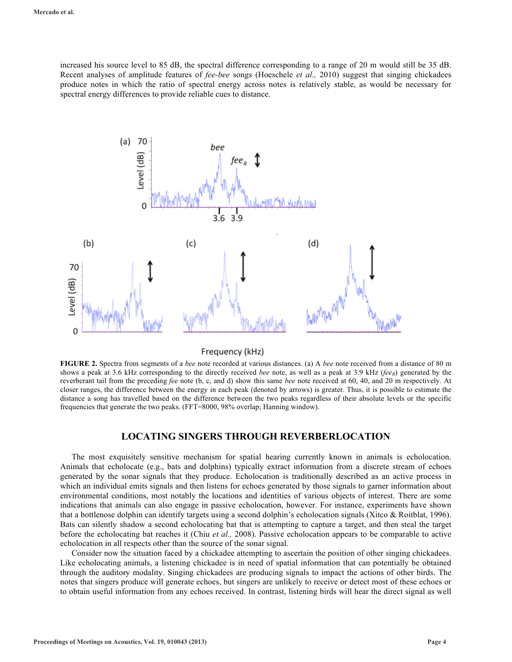increased his source level to 85 dB, the spectral difference corresponding to a range of 20 m would still be 35 dB. Recent analyses of amplitude features of *fee-bee* songs (Hoeschele *et al.,* 2010) suggest that singing chickadees produce notes in which the ratio of spectral energy across notes is relatively stable, as would be necessary for spectral energy differences to provide reliable cues to distance.



#### Frequency (kHz)

**FIGURE 2.** Spectra from segments of a *bee* note recorded at various distances. (a) A *bee* note received from a distance of 80 m shows a peak at 3.6 kHz corresponding to the directly received *bee* note, as well as a peak at 3.9 kHz (*fee<sub>R</sub>*) generated by the reverberant tail from the preceding *fee* note (b, c, and d) show this same *bee* note received at 60, 40, and 20 m respectively. At closer ranges, the difference between the energy in each peak (denoted by arrows) is greater. Thus, it is possible to estimate the distance a song has travelled based on the difference between the two peaks regardless of their absolute levels or the specific frequencies that generate the two peaks. (FFT=8000, 98% overlap; Hanning window).

# **LOCATING SINGERS THROUGH REVERBERLOCATION**

The most exquisitely sensitive mechanism for spatial hearing currently known in animals is echolocation. Animals that echolocate (e.g., bats and dolphins) typically extract information from a discrete stream of echoes generated by the sonar signals that they produce. Echolocation is traditionally described as an active process in which an individual emits signals and then listens for echoes generated by those signals to garner information about environmental conditions, most notably the locations and identities of various objects of interest. There are some indications that animals can also engage in passive echolocation, however. For instance, experiments have shown that a bottlenose dolphin can identify targets using a second dolphin's echolocation signals (Xitco & Roitblat, 1996). Bats can silently shadow a second echolocating bat that is attempting to capture a target, and then steal the target before the echolocating bat reaches it (Chiu *et al.,* 2008). Passive echolocation appears to be comparable to active echolocation in all respects other than the source of the sonar signal.

Consider now the situation faced by a chickadee attempting to ascertain the position of other singing chickadees. Like echolocating animals, a listening chickadee is in need of spatial information that can potentially be obtained through the auditory modality. Singing chickadees are producing signals to impact the actions of other birds. The notes that singers produce will generate echoes, but singers are unlikely to receive or detect most of these echoes or to obtain useful information from any echoes received. In contrast, listening birds will hear the direct signal as well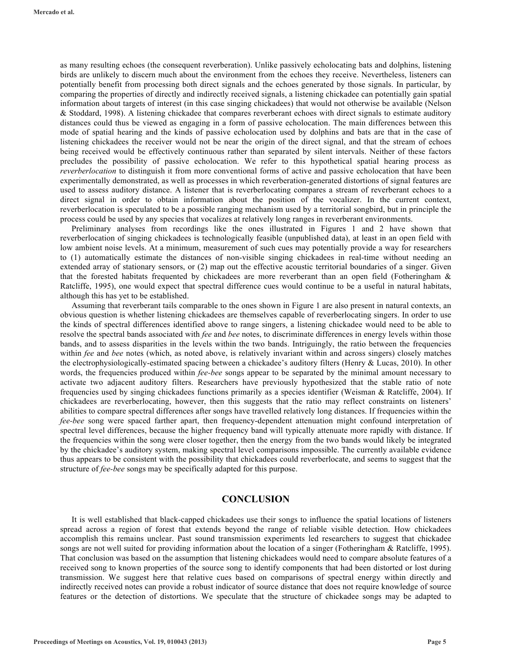as many resulting echoes (the consequent reverberation). Unlike passively echolocating bats and dolphins, listening birds are unlikely to discern much about the environment from the echoes they receive. Nevertheless, listeners can potentially benefit from processing both direct signals and the echoes generated by those signals. In particular, by comparing the properties of directly and indirectly received signals, a listening chickadee can potentially gain spatial information about targets of interest (in this case singing chickadees) that would not otherwise be available (Nelson & Stoddard, 1998). A listening chickadee that compares reverberant echoes with direct signals to estimate auditory distances could thus be viewed as engaging in a form of passive echolocation. The main differences between this mode of spatial hearing and the kinds of passive echolocation used by dolphins and bats are that in the case of listening chickadees the receiver would not be near the origin of the direct signal, and that the stream of echoes being received would be effectively continuous rather than separated by silent intervals. Neither of these factors precludes the possibility of passive echolocation. We refer to this hypothetical spatial hearing process as *reverberlocation* to distinguish it from more conventional forms of active and passive echolocation that have been experimentally demonstrated, as well as processes in which reverberation-generated distortions of signal features are used to assess auditory distance. A listener that is reverberlocating compares a stream of reverberant echoes to a direct signal in order to obtain information about the position of the vocalizer. In the current context, reverberlocation is speculated to be a possible ranging mechanism used by a territorial songbird, but in principle the process could be used by any species that vocalizes at relatively long ranges in reverberant environments.

Preliminary analyses from recordings like the ones illustrated in Figures 1 and 2 have shown that reverberlocation of singing chickadees is technologically feasible (unpublished data), at least in an open field with low ambient noise levels. At a minimum, measurement of such cues may potentially provide a way for researchers to (1) automatically estimate the distances of non-visible singing chickadees in real-time without needing an extended array of stationary sensors, or (2) map out the effective acoustic territorial boundaries of a singer. Given that the forested habitats frequented by chickadees are more reverberant than an open field (Fotheringham & Ratcliffe, 1995), one would expect that spectral difference cues would continue to be a useful in natural habitats, although this has yet to be established.

Assuming that reverberant tails comparable to the ones shown in Figure 1 are also present in natural contexts, an obvious question is whether listening chickadees are themselves capable of reverberlocating singers. In order to use the kinds of spectral differences identified above to range singers, a listening chickadee would need to be able to resolve the spectral bands associated with *fee* and *bee* notes, to discriminate differences in energy levels within those bands, and to assess disparities in the levels within the two bands. Intriguingly, the ratio between the frequencies within *fee* and *bee* notes (which, as noted above, is relatively invariant within and across singers) closely matches the electrophysiologically-estimated spacing between a chickadee's auditory filters (Henry & Lucas, 2010). In other words, the frequencies produced within *fee-bee* songs appear to be separated by the minimal amount necessary to activate two adjacent auditory filters. Researchers have previously hypothesized that the stable ratio of note frequencies used by singing chickadees functions primarily as a species identifier (Weisman & Ratcliffe, 2004). If chickadees are reverberlocating, however, then this suggests that the ratio may reflect constraints on listeners' abilities to compare spectral differences after songs have travelled relatively long distances. If frequencies within the *fee-bee* song were spaced farther apart, then frequency-dependent attenuation might confound interpretation of spectral level differences, because the higher frequency band will typically attenuate more rapidly with distance. If the frequencies within the song were closer together, then the energy from the two bands would likely be integrated by the chickadee's auditory system, making spectral level comparisons impossible. The currently available evidence thus appears to be consistent with the possibility that chickadees could reverberlocate, and seems to suggest that the structure of *fee-bee* songs may be specifically adapted for this purpose.

#### **CONCLUSION**

It is well established that black-capped chickadees use their songs to influence the spatial locations of listeners spread across a region of forest that extends beyond the range of reliable visible detection. How chickadees accomplish this remains unclear. Past sound transmission experiments led researchers to suggest that chickadee songs are not well suited for providing information about the location of a singer (Fotheringham & Ratcliffe, 1995). That conclusion was based on the assumption that listening chickadees would need to compare absolute features of a received song to known properties of the source song to identify components that had been distorted or lost during transmission. We suggest here that relative cues based on comparisons of spectral energy within directly and indirectly received notes can provide a robust indicator of source distance that does not require knowledge of source features or the detection of distortions. We speculate that the structure of chickadee songs may be adapted to